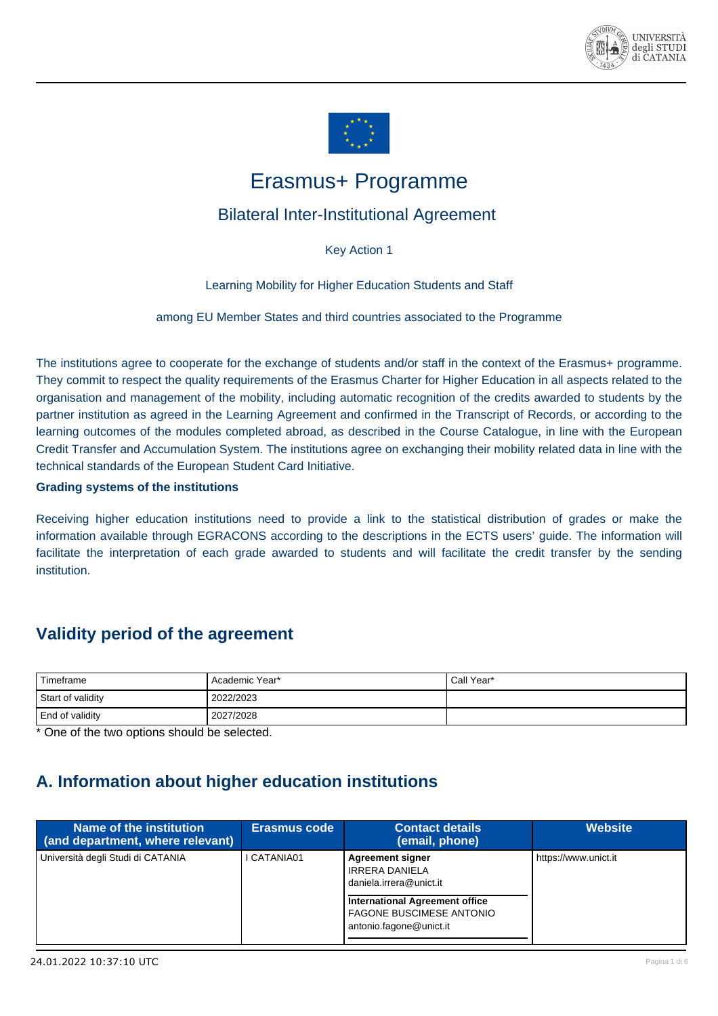



# Erasmus+ Programme

### <span id="page-0-0"></span>Bilateral Inter-Institutional Agreement

Key Action 1

Learning Mobility for Higher Education Students and Staff

among EU Member States and third countries associated to the Programme

The institutions agree to cooperate for the exchange of students and/or staff in the context of the Erasmus+ programme. They commit to respect the quality requirements of the Erasmus Charter for Higher Education in all aspects related to the organisation and management of the mobility, including automatic recognition of the credits awarded to students by the partner institution as agreed in the Learning Agreement and confirmed in the Transcript of Records, or according to the learning outcomes of the modules completed abroad, as described in the Course Catalogue, in line with the European Credit Transfer and Accumulation System. The institutions agree on exchanging their mobility related data in line with the technical standards of the European Student Card Initiative.

**Grading systems of the institutions**

Receiving higher education institutions need to provide a link to the statistical distribution of grades or make the information available through EGRACONS according to the descriptions in the ECTS users' guide. The information will facilitate the interpretation of each grade awarded to students and will facilitate the credit transfer by the sending institution.

### **Validity period of the agreement**

| Timeframe              | Academic Year* | Call Year* |
|------------------------|----------------|------------|
| Start of validity      | 2022/2023      |            |
| <b>End of validity</b> | 2027/2028      |            |

\* One of the two options should be selected.

## **A. Information about higher education institutions**

| Name of the institution<br>(and department, where relevant) | <b>Erasmus code</b> | <b>Contact details</b><br>(email, phone)                                                            | <b>Website</b>       |
|-------------------------------------------------------------|---------------------|-----------------------------------------------------------------------------------------------------|----------------------|
| Università degli Studi di CATANIA                           | CATANIA01           | <b>Agreement signer</b><br><b>IRRERA DANIELA</b><br>daniela.irrera@unict.it                         | https://www.unict.it |
|                                                             |                     | <b>International Agreement office</b><br><b>FAGONE BUSCIMESE ANTONIO</b><br>antonio.fagone@unict.it |                      |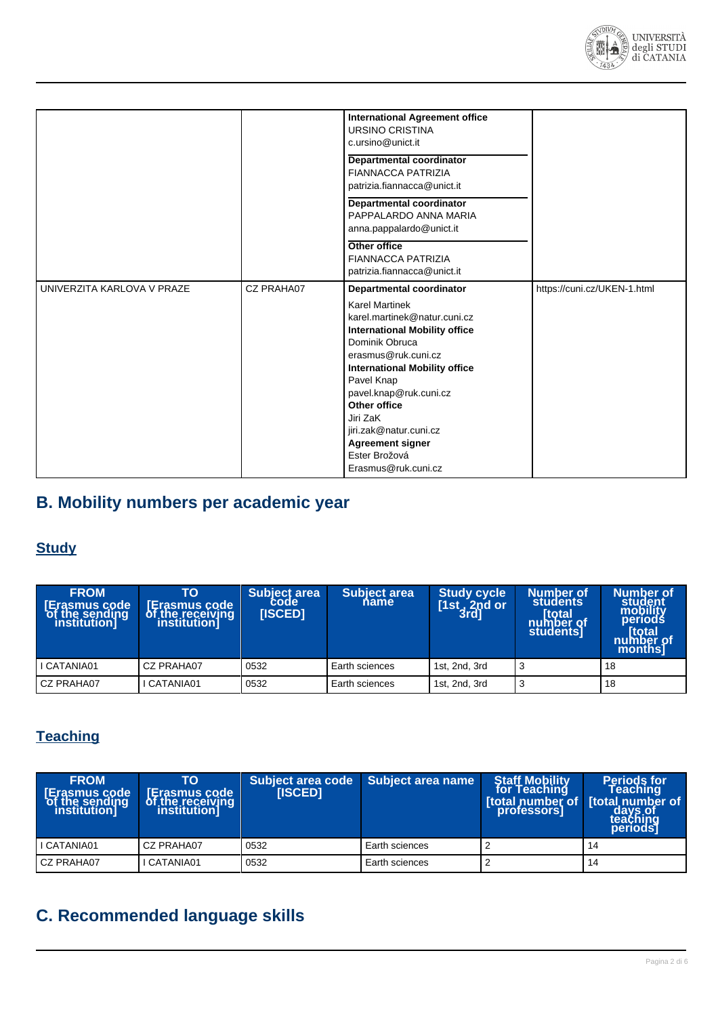

|                            |            | <b>International Agreement office</b><br>URSINO CRISTINA<br>c.ursino@unict.it                                                                                                                                                                                                                                                                                                      |                             |
|----------------------------|------------|------------------------------------------------------------------------------------------------------------------------------------------------------------------------------------------------------------------------------------------------------------------------------------------------------------------------------------------------------------------------------------|-----------------------------|
|                            |            | Departmental coordinator<br><b>FIANNACCA PATRIZIA</b><br>patrizia.fiannacca@unict.it                                                                                                                                                                                                                                                                                               |                             |
|                            |            | Departmental coordinator<br>PAPPALARDO ANNA MARIA<br>anna.pappalardo@unict.it                                                                                                                                                                                                                                                                                                      |                             |
|                            |            | Other office<br><b>FIANNACCA PATRIZIA</b><br>patrizia.fiannacca@unict.it                                                                                                                                                                                                                                                                                                           |                             |
| UNIVERZITA KARLOVA V PRAZE | CZ PRAHA07 | Departmental coordinator<br><b>Karel Martinek</b><br>karel.martinek@natur.cuni.cz<br><b>International Mobility office</b><br>Dominik Obruca<br>erasmus@ruk.cuni.cz<br><b>International Mobility office</b><br>Pavel Knap<br>pavel.knap@ruk.cuni.cz<br><b>Other office</b><br>Jiri ZaK<br>jiri.zak@natur.cuni.cz<br><b>Agreement signer</b><br>Ester Brožová<br>Erasmus@ruk.cuni.cz | https://cuni.cz/UKEN-1.html |

# **B. Mobility numbers per academic year**

### **Study**

| <b>FROM</b><br>Erasmus code<br>of the sending<br>the sending<br><i>institution]</i> | TO<br><b>Erasmus code</b><br>of the receiving<br>institution | Subject area<br><b>[ISCED]</b> | <b>Subject area</b><br>name | <b>Study cycle</b><br>[1st, 2nd or 3rd] | Number of<br><b>students</b><br>[total]<br>  number of<br>  students | Number of<br>student<br>mobility<br>periods<br>total<br>number of<br>monthsl |
|-------------------------------------------------------------------------------------|--------------------------------------------------------------|--------------------------------|-----------------------------|-----------------------------------------|----------------------------------------------------------------------|------------------------------------------------------------------------------|
| I CATANIA01                                                                         | CZ PRAHA07                                                   | 0532                           | Earth sciences              | 1st, 2nd, 3rd                           |                                                                      | 18                                                                           |
| <b>CZ PRAHA07</b>                                                                   | <b>CATANIA01</b>                                             | 0532                           | Earth sciences              | 1st, 2nd, 3rd                           |                                                                      | 18                                                                           |

## **Teaching**

| <b>FROM</b><br>rasmus code<br>`of<br>the sending<br>institution]' | TO<br>Erasmus code<br>of the receiving | <b>IISCED1</b> | Subject area code Subject area name | <b>Staff Mobility</b><br>for Teaching<br>professors] | <b>Periods for<br/>Teaching</b><br><b>Itotal number of Itotal number of</b><br>  days.of<br> teaching<br>periods |
|-------------------------------------------------------------------|----------------------------------------|----------------|-------------------------------------|------------------------------------------------------|------------------------------------------------------------------------------------------------------------------|
| I CATANIA01                                                       | CZ PRAHA07                             | 0532           | Earth sciences                      |                                                      | 14                                                                                                               |
| CZ PRAHA07                                                        | CATANIA01                              | 0532           | Earth sciences                      |                                                      | -14                                                                                                              |

# **C. Recommended language skills**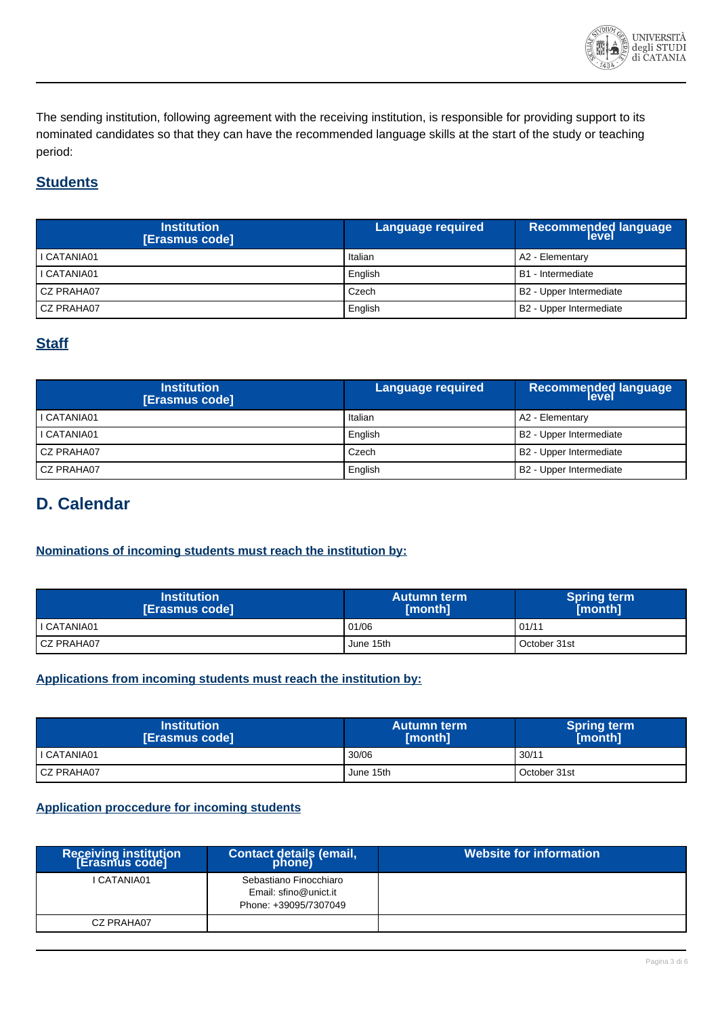

The sending institution, following agreement with the receiving institution, is responsible for providing support to its nominated candidates so that they can have the recommended language skills at the start of the study or teaching period:

### **Students**

| <b>Institution</b><br>[Erasmus code] | Language required | <b>Recommended language</b> |
|--------------------------------------|-------------------|-----------------------------|
| I CATANIA01                          | Italian           | A2 - Elementary             |
| I CATANIA01                          | English           | B1 - Intermediate           |
| CZ PRAHA07                           | Czech             | B2 - Upper Intermediate     |
| CZ PRAHA07                           | English           | B2 - Upper Intermediate     |

### **Staff**

| <b>Institution</b><br>[Erasmus code] | Language required | <b>Recommended language<br/>level</b> |
|--------------------------------------|-------------------|---------------------------------------|
| I CATANIA01                          | Italian           | A2 - Elementary                       |
| I CATANIA01                          | English           | B2 - Upper Intermediate               |
| CZ PRAHA07                           | Czech             | B2 - Upper Intermediate               |
| CZ PRAHA07                           | English           | B2 - Upper Intermediate               |

### **D. Calendar**

#### **Nominations of incoming students must reach the institution by:**

| <b>Institution</b><br>[Erasmus code] | <b>Autumn term</b><br>[month] | <b>Spring term</b><br>[month] |
|--------------------------------------|-------------------------------|-------------------------------|
| I CATANIA01                          | 01/06                         | 01/11                         |
| <b>CZ PRAHA07</b>                    | June 15th                     | October 31st                  |

#### **Applications from incoming students must reach the institution by:**

| <b>Institution</b><br>[Erasmus code] | <b>Autumn term</b><br>[month] | <b>Spring term</b><br>[month] |
|--------------------------------------|-------------------------------|-------------------------------|
| I CATANIA01                          | 30/06                         | 30/11                         |
| <b>CZ PRAHA07</b>                    | June 15th                     | October 31st                  |

#### **Application proccedure for incoming students**

| Receiving institution<br>[Erasmus code] | Contact details (email,<br>phone)                                        | Website for information |
|-----------------------------------------|--------------------------------------------------------------------------|-------------------------|
| I CATANIA01                             | Sebastiano Finocchiaro<br>Email: sfino@unict.it<br>Phone: +39095/7307049 |                         |
| CZ PRAHA07                              |                                                                          |                         |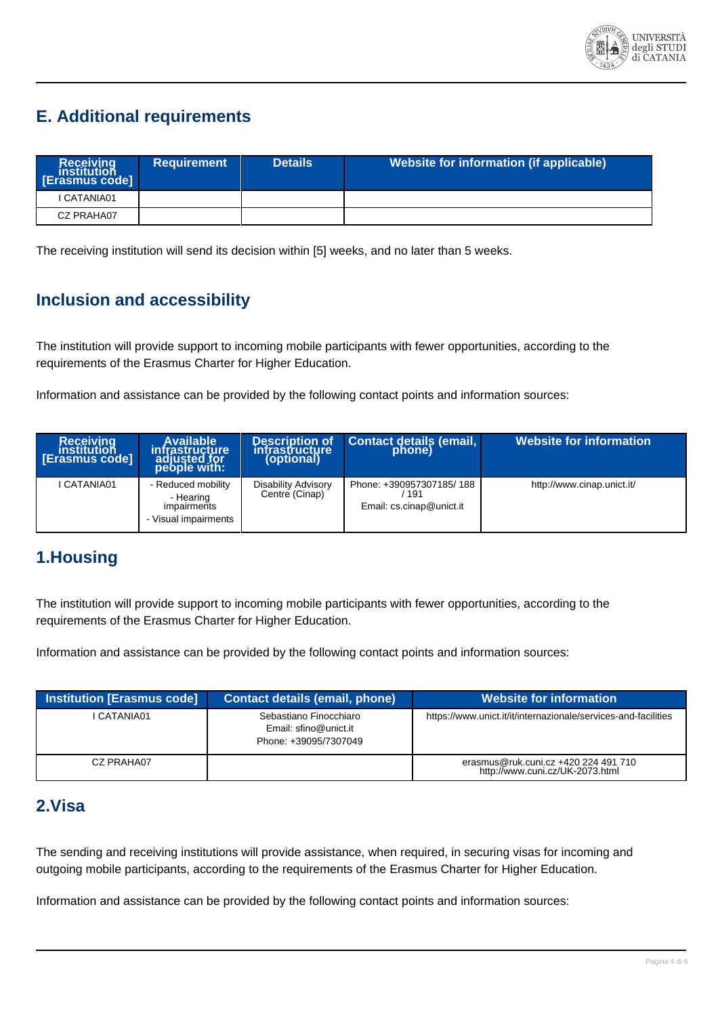

## **E. Additional requirements**

| Receiving<br>institution<br><b>Erasmus code</b> | <b>Requirement</b> | <b>Details</b> | Website for information (if applicable) |
|-------------------------------------------------|--------------------|----------------|-----------------------------------------|
| I CATANIA01                                     |                    |                |                                         |
| CZ PRAHA07                                      |                    |                |                                         |

The receiving institution will send its decision within [5] weeks, and no later than 5 weeks.

### **Inclusion and accessibility**

The institution will provide support to incoming mobile participants with fewer opportunities, according to the requirements of the Erasmus Charter for Higher Education.

Information and assistance can be provided by the following contact points and information sources:

| <b>Receiving</b><br>institution<br>[Erasmus code] | Available<br>infrastructure<br>adjusted for<br>people with:            | Description of<br>infrastructure<br>(optional) | Contact details (email, phone)                              | <b>Website for information</b> |
|---------------------------------------------------|------------------------------------------------------------------------|------------------------------------------------|-------------------------------------------------------------|--------------------------------|
| I CATANIA01                                       | - Reduced mobility<br>- Hearing<br>impairments<br>- Visual impairments | Disability Advisory<br>Centre (Cinap)          | Phone: +390957307185/188<br>191<br>Email: cs.cinap@unict.it | http://www.cinap.unict.it/     |

### **1.Housing**

The institution will provide support to incoming mobile participants with fewer opportunities, according to the requirements of the Erasmus Charter for Higher Education.

Information and assistance can be provided by the following contact points and information sources:

| Institution [Erasmus code] | <b>Contact details (email, phone)</b>                                    | Website for information                                                 |
|----------------------------|--------------------------------------------------------------------------|-------------------------------------------------------------------------|
| CATANIA01                  | Sebastiano Finocchiaro<br>Email: sfino@unict.it<br>Phone: +39095/7307049 | https://www.unict.it/it/internazionale/services-and-facilities          |
| CZ PRAHA07                 |                                                                          | erasmus@ruk.cuni.cz +420 224 491 710<br>http://www.cuni.cz/UK-2073.html |

### **2.Visa**

The sending and receiving institutions will provide assistance, when required, in securing visas for incoming and outgoing mobile participants, according to the requirements of the Erasmus Charter for Higher Education.

Information and assistance can be provided by the following contact points and information sources: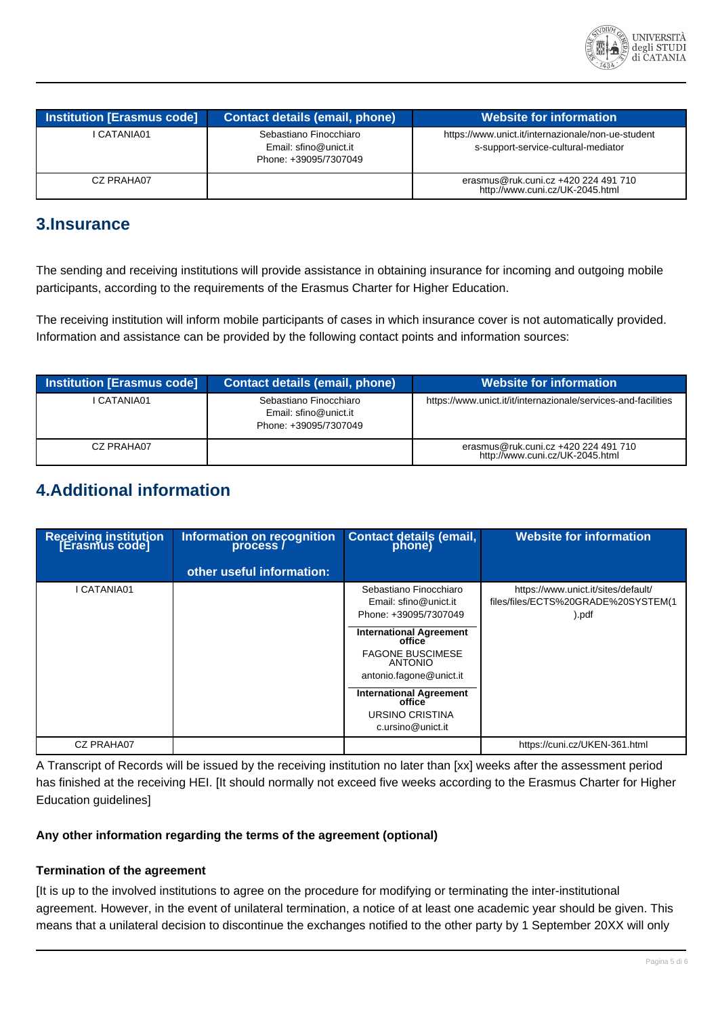

| <b>Institution [Erasmus code]</b> | <b>Contact details (email, phone)</b>                                    | <b>Website for information</b>                                                            |
|-----------------------------------|--------------------------------------------------------------------------|-------------------------------------------------------------------------------------------|
| I CATANIA01                       | Sebastiano Finocchiaro<br>Email: sfino@unict.it<br>Phone: +39095/7307049 | https://www.unict.it/internazionale/non-ue-student<br>s-support-service-cultural-mediator |
| CZ PRAHA07                        |                                                                          | erasmus@ruk.cuni.cz +420 224 491 710<br>http://www.cuni.cz/UK-2045.html                   |

### **3.Insurance**

The sending and receiving institutions will provide assistance in obtaining insurance for incoming and outgoing mobile participants, according to the requirements of the Erasmus Charter for Higher Education.

The receiving institution will inform mobile participants of cases in which insurance cover is not automatically provided. Information and assistance can be provided by the following contact points and information sources:

| Institution [Erasmus code] | <b>Contact details (email, phone)</b>                                    | <b>Website for information</b>                                          |
|----------------------------|--------------------------------------------------------------------------|-------------------------------------------------------------------------|
| CATANIA01                  | Sebastiano Finocchiaro<br>Email: sfino@unict.it<br>Phone: +39095/7307049 | https://www.unict.it/it/internazionale/services-and-facilities          |
| CZ PRAHA07                 |                                                                          | erasmus@ruk.cuni.cz +420 224 491 710<br>http://www.cuni.cz/UK-2045.html |

### **4.Additional information**

| Receiving institution<br>[Erasmus code] | Information on recognition<br>process / | Contact details (email,<br>phone)                                                                                                                                                                                                                                                                          | <b>Website for information</b>                                                         |
|-----------------------------------------|-----------------------------------------|------------------------------------------------------------------------------------------------------------------------------------------------------------------------------------------------------------------------------------------------------------------------------------------------------------|----------------------------------------------------------------------------------------|
|                                         | other useful information:               |                                                                                                                                                                                                                                                                                                            |                                                                                        |
| I CATANIA01                             |                                         | Sebastiano Finocchiaro<br>Email: sfino@unict.it<br>Phone: +39095/7307049<br><b>International Agreement</b><br>office <sup>-</sup><br><b>FAGONE BUSCIMESE</b><br><b>ANTONIO</b><br>antonio.fagone@unict.it<br><b>International Agreement</b><br>office <sup>-</sup><br>URSINO CRISTINA<br>c.ursino@unict.it | https://www.unict.it/sites/default/<br>files/files/ECTS%20GRADE%20SYSTEM(1<br>$)$ .pdf |
| CZ PRAHA07                              |                                         |                                                                                                                                                                                                                                                                                                            | https://cuni.cz/UKEN-361.html                                                          |

A Transcript of Records will be issued by the receiving institution no later than [xx] weeks after the assessment period has finished at the receiving HEI. [It should normally not exceed five weeks according to the Erasmus Charter for Higher Education guidelines]

#### **Any other information regarding the terms of the agreement (optional)**

#### **Termination of the agreement**

[It is up to the involved institutions to agree on the procedure for modifying or terminating the inter-institutional agreement. However, in the event of unilateral termination, a notice of at least one academic year should be given. This means that a unilateral decision to discontinue the exchanges notified to the other party by 1 September 20XX will only